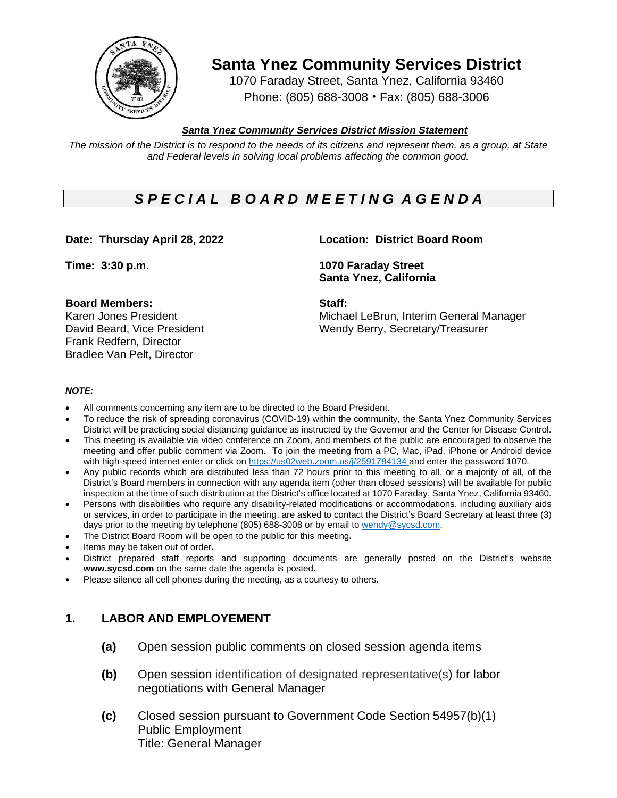

**Santa Ynez Community Services District**

1070 Faraday Street, Santa Ynez, California 93460 Phone: (805) 688-3008 • Fax: (805) 688-3006

## *Santa Ynez Community Services District Mission Statement*

The mission of the District is to respond to the needs of its citizens and represent them, as a group, at State *and Federal levels in solving local problems affecting the common good.*

# *S P E C I A L B O A R D M E E T I N G A G E N D A*

#### **Board Members: Staff:**

Frank Redfern, Director Bradlee Van Pelt, Director

### **Date: Thursday April 28, 2022 Location: District Board Room**

**Time: 3:30 p.m. 1070 Faraday Street Santa Ynez, California**

Karen Jones President Michael LeBrun, Interim General Manager David Beard, Vice President Wendy Berry, Secretary/Treasurer

#### *NOTE:*

- All comments concerning any item are to be directed to the Board President.
- To reduce the risk of spreading coronavirus (COVID-19) within the community, the Santa Ynez Community Services District will be practicing social distancing guidance as instructed by the Governor and the Center for Disease Control.
- This meeting is available via video conference on Zoom, and members of the public are encouraged to observe the meeting and offer public comment via Zoom. To join the meeting from a PC, Mac, iPad, iPhone or Android device with high-speed internet enter or click on [https://us02web.zoom.us/j/2](https://us02web.zoom.us/j/)591784134 and enter the password 1070.
- Any public records which are distributed less than 72 hours prior to this meeting to all, or a majority of all, of the District's Board members in connection with any agenda item (other than closed sessions) will be available for public inspection at the time of such distribution at the District's office located at 1070 Faraday, Santa Ynez, California 93460.
- Persons with disabilities who require any disability-related modifications or accommodations, including auxiliary aids or services, in order to participate in the meeting, are asked to contact the District's Board Secretary at least three (3) days prior to the meeting by telephone (805) 688-3008 or by email to [wendy@sycsd.com.](mailto:wendy@sycsd.com)
- The District Board Room will be open to the public for this meeting**.**
- Items may be taken out of order**.**
- District prepared staff reports and supporting documents are generally posted on the District's website **[www.sycsd.com](http://www.sycsd.com/)** on the same date the agenda is posted.
- Please silence all cell phones during the meeting, as a courtesy to others.

# **1. LABOR AND EMPLOYEMENT**

- **(a)** Open session public comments on closed session agenda items
- **(b)** Open session identification of designated representative(s) for labor negotiations with General Manager
- **(c)** Closed session pursuant to Government Code Section 54957(b)(1) Public Employment Title: General Manager